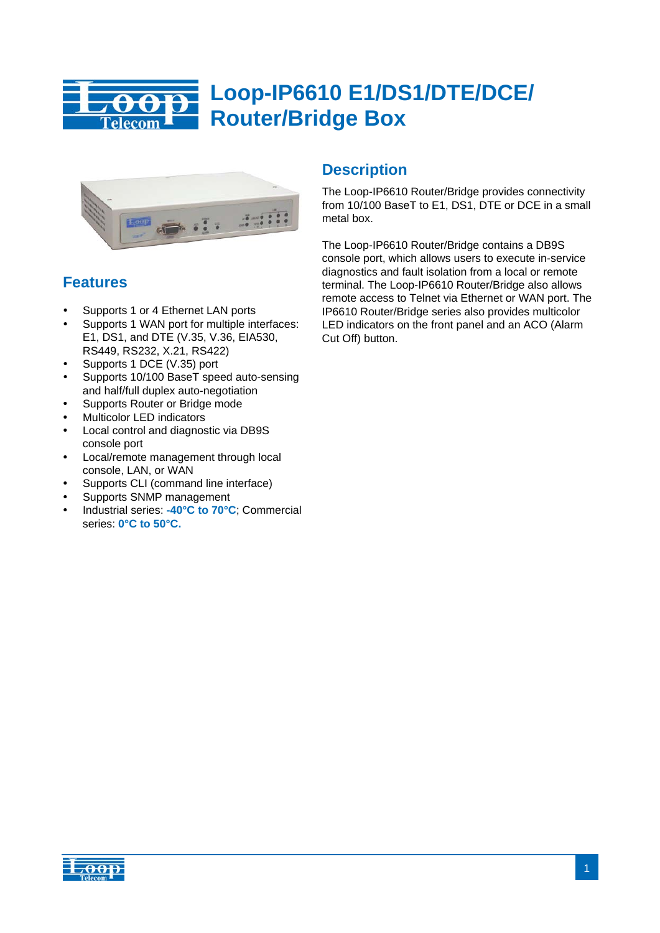

# **Loop-IP6610 E1/DS1/DTE/DCE/ Router/Bridge Box**



# **Features**

- Supports 1 or 4 Ethernet LAN ports
- Supports 1 WAN port for multiple interfaces: E1, DS1, and DTE (V.35, V.36, EIA530, RS449, RS232, X.21, RS422)
- Supports 1 DCE (V.35) port
- Supports 10/100 BaseT speed auto-sensing and half/full duplex auto-negotiation
- Supports Router or Bridge mode
- Multicolor LED indicators
- Local control and diagnostic via DB9S console port
- Local/remote management through local console, LAN, or WAN
- Supports CLI (command line interface)
- Supports SNMP management
- Industrial series: **-40°C to 70°C**; Commercial series: **0°C to 50°C.**

# **Description**

The Loop-IP6610 Router/Bridge provides connectivity from 10/100 BaseT to E1, DS1, DTE or DCE in a small metal box.

The Loop-IP6610 Router/Bridge contains a DB9S console port, which allows users to execute in-service diagnostics and fault isolation from a local or remote terminal. The Loop-IP6610 Router/Bridge also allows remote access to Telnet via Ethernet or WAN port. The IP6610 Router/Bridge series also provides multicolor LED indicators on the front panel and an ACO (Alarm Cut Off) button.

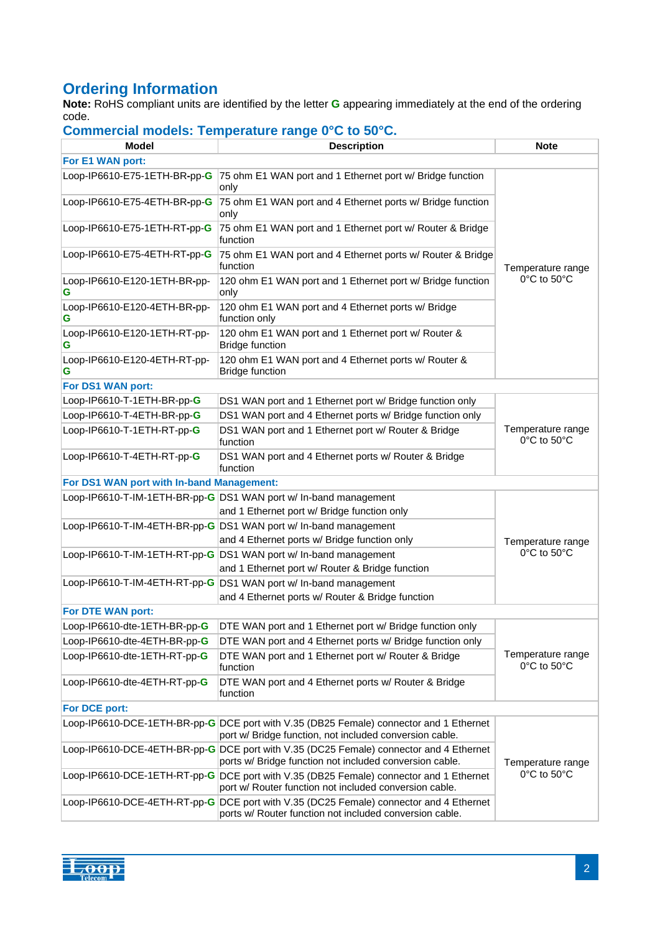# **Ordering Information**

**Note:** RoHS compliant units are identified by the letter **G** appearing immediately at the end of the ordering code.

| Model                                     | <b>Description</b>                                                                                                                                | <b>Note</b>                      |
|-------------------------------------------|---------------------------------------------------------------------------------------------------------------------------------------------------|----------------------------------|
| For E1 WAN port:                          |                                                                                                                                                   |                                  |
| Loop-IP6610-E75-1ETH-BR-pp-G              | 75 ohm E1 WAN port and 1 Ethernet port w/ Bridge function<br>only                                                                                 |                                  |
| Loop-IP6610-E75-4ETH-BR-pp-G              | 75 ohm E1 WAN port and 4 Ethernet ports w/ Bridge function<br>only                                                                                |                                  |
| Loop-IP6610-E75-1ETH-RT-pp-G              | 75 ohm E1 WAN port and 1 Ethernet port w/ Router & Bridge<br>function                                                                             |                                  |
| Loop-IP6610-E75-4ETH-RT-pp-G              | 75 ohm E1 WAN port and 4 Ethernet ports w/ Router & Bridge<br>function                                                                            | Temperature range                |
| Loop-IP6610-E120-1ETH-BR-pp-<br>G         | 120 ohm E1 WAN port and 1 Ethernet port w/ Bridge function<br>only                                                                                | 0°C to 50°C                      |
| Loop-IP6610-E120-4ETH-BR-pp-<br>G         | 120 ohm E1 WAN port and 4 Ethernet ports w/ Bridge<br>function only                                                                               |                                  |
| Loop-IP6610-E120-1ETH-RT-pp-<br>G         | 120 ohm E1 WAN port and 1 Ethernet port w/ Router &<br><b>Bridge function</b>                                                                     |                                  |
| Loop-IP6610-E120-4ETH-RT-pp-<br>G         | 120 ohm E1 WAN port and 4 Ethernet ports w/ Router &<br><b>Bridge function</b>                                                                    |                                  |
| For DS1 WAN port:                         |                                                                                                                                                   |                                  |
| Loop-IP6610-T-1ETH-BR-pp-G                | DS1 WAN port and 1 Ethernet port w/ Bridge function only                                                                                          |                                  |
| Loop-IP6610-T-4ETH-BR-pp-G                | DS1 WAN port and 4 Ethernet ports w/ Bridge function only                                                                                         |                                  |
| Loop-IP6610-T-1ETH-RT-pp-G                | DS1 WAN port and 1 Ethernet port w/ Router & Bridge<br>function                                                                                   | Temperature range<br>0°C to 50°C |
| Loop-IP6610-T-4ETH-RT-pp-G                | DS1 WAN port and 4 Ethernet ports w/ Router & Bridge<br>function                                                                                  |                                  |
| For DS1 WAN port with In-band Management: |                                                                                                                                                   |                                  |
|                                           | Loop-IP6610-T-IM-1ETH-BR-pp-G DS1 WAN port w/ In-band management                                                                                  |                                  |
|                                           | and 1 Ethernet port w/ Bridge function only                                                                                                       |                                  |
|                                           | Loop-IP6610-T-IM-4ETH-BR-pp-G DS1 WAN port w/ In-band management                                                                                  |                                  |
|                                           | and 4 Ethernet ports w/ Bridge function only                                                                                                      | Temperature range                |
|                                           | Loop-IP6610-T-IM-1ETH-RT-pp-G DS1 WAN port w/ In-band management<br>and 1 Ethernet port w/ Router & Bridge function                               | 0°C to 50°C                      |
|                                           | Loop-IP6610-T-IM-4ETH-RT-pp-G DS1 WAN port w/ In-band management                                                                                  |                                  |
|                                           | and 4 Ethernet ports w/ Router & Bridge function                                                                                                  |                                  |
| For DTE WAN port:                         |                                                                                                                                                   |                                  |
| Loop-IP6610-dte-1ETH-BR-pp-G              | DTE WAN port and 1 Ethernet port w/ Bridge function only                                                                                          |                                  |
| Loop-IP6610-dte-4ETH-BR-pp-G              | DTE WAN port and 4 Ethernet ports w/ Bridge function only                                                                                         |                                  |
| Loop-IP6610-dte-1ETH-RT-pp-G              | DTE WAN port and 1 Ethernet port w/ Router & Bridge<br>function                                                                                   | Temperature range<br>0°C to 50°C |
| Loop-IP6610-dte-4ETH-RT-pp-G              | DTE WAN port and 4 Ethernet ports w/ Router & Bridge<br>function                                                                                  |                                  |
| For DCE port:                             |                                                                                                                                                   |                                  |
|                                           | Loop-IP6610-DCE-1ETH-BR-pp-G DCE port with V.35 (DB25 Female) connector and 1 Ethernet<br>port w/ Bridge function, not included conversion cable. |                                  |
|                                           | Loop-IP6610-DCE-4ETH-BR-pp-G DCE port with V.35 (DC25 Female) connector and 4 Ethernet<br>ports w/ Bridge function not included conversion cable. | Temperature range                |
|                                           | Loop-IP6610-DCE-1ETH-RT-pp-G DCE port with V.35 (DB25 Female) connector and 1 Ethernet<br>port w/ Router function not included conversion cable.  | 0°C to 50°C                      |
|                                           | Loop-IP6610-DCE-4ETH-RT-pp-G DCE port with V.35 (DC25 Female) connector and 4 Ethernet<br>ports w/ Router function not included conversion cable. |                                  |

## **Commercial models: Temperature range 0°C to 50°C.**

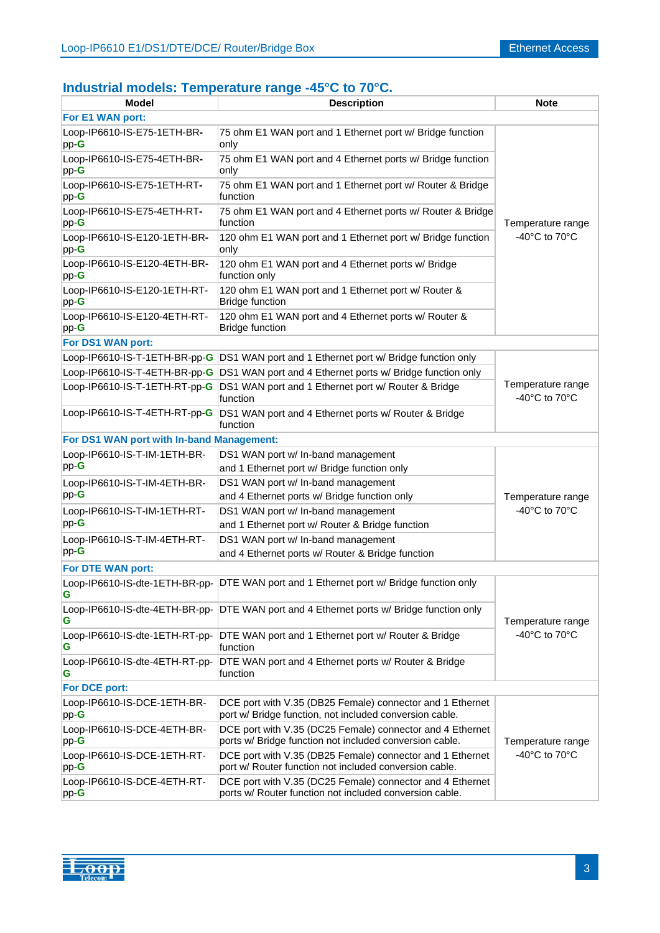# **Industrial models: Temperature range -45°C to 70°C.**

| Model                                     | <b>Description</b>                                                                                                   | <b>Note</b>                                              |  |
|-------------------------------------------|----------------------------------------------------------------------------------------------------------------------|----------------------------------------------------------|--|
| For E1 WAN port:                          |                                                                                                                      |                                                          |  |
| Loop-IP6610-IS-E75-1ETH-BR-<br>$pp-G$     | 75 ohm E1 WAN port and 1 Ethernet port w/ Bridge function<br>only                                                    |                                                          |  |
| Loop-IP6610-IS-E75-4ETH-BR-<br>$pp-G$     | 75 ohm E1 WAN port and 4 Ethernet ports w/ Bridge function<br>only                                                   |                                                          |  |
| Loop-IP6610-IS-E75-1ETH-RT-<br>$pp-G$     | 75 ohm E1 WAN port and 1 Ethernet port w/ Router & Bridge<br>function                                                |                                                          |  |
| Loop-IP6610-IS-E75-4ETH-RT-<br>$pp-G$     | 75 ohm E1 WAN port and 4 Ethernet ports w/ Router & Bridge<br>function                                               | Temperature range                                        |  |
| Loop-IP6610-IS-E120-1ETH-BR-<br>$pp-G$    | 120 ohm E1 WAN port and 1 Ethernet port w/ Bridge function<br>only                                                   | -40 $^{\circ}$ C to 70 $^{\circ}$ C                      |  |
| Loop-IP6610-IS-E120-4ETH-BR-<br>$pp-G$    | 120 ohm E1 WAN port and 4 Ethernet ports w/ Bridge<br>function only                                                  |                                                          |  |
| Loop-IP6610-IS-E120-1ETH-RT-<br>$pp-G$    | 120 ohm E1 WAN port and 1 Ethernet port w/ Router &<br><b>Bridge function</b>                                        |                                                          |  |
| Loop-IP6610-IS-E120-4ETH-RT-<br>$pp-G$    | 120 ohm E1 WAN port and 4 Ethernet ports w/ Router &<br><b>Bridge function</b>                                       |                                                          |  |
| For DS1 WAN port:                         |                                                                                                                      |                                                          |  |
| Loop-IP6610-IS-T-1ETH-BR-pp-G             | DS1 WAN port and 1 Ethernet port w/ Bridge function only                                                             |                                                          |  |
|                                           | Loop-IP6610-IS-T-4ETH-BR-pp-G DS1 WAN port and 4 Ethernet ports w/ Bridge function only                              |                                                          |  |
| Loop-IP6610-IS-T-1ETH-RT-pp-G             | DS1 WAN port and 1 Ethernet port w/ Router & Bridge<br>function                                                      | Temperature range<br>-40 $^{\circ}$ C to 70 $^{\circ}$ C |  |
| Loop-IP6610-IS-T-4ETH-RT-pp-G             | DS1 WAN port and 4 Ethernet ports w/ Router & Bridge<br>function                                                     |                                                          |  |
| For DS1 WAN port with In-band Management: |                                                                                                                      |                                                          |  |
| Loop-IP6610-IS-T-IM-1ETH-BR-              | DS1 WAN port w/ In-band management                                                                                   |                                                          |  |
| $pp-G$                                    | and 1 Ethernet port w/ Bridge function only                                                                          |                                                          |  |
| Loop-IP6610-IS-T-IM-4ETH-BR-<br>$pp-G$    | DS1 WAN port w/ In-band management<br>and 4 Ethernet ports w/ Bridge function only                                   | Temperature range                                        |  |
| Loop-IP6610-IS-T-IM-1ETH-RT-              | DS1 WAN port w/ In-band management                                                                                   | -40°C to 70°C                                            |  |
| $pp-G$                                    | and 1 Ethernet port w/ Router & Bridge function                                                                      |                                                          |  |
| Loop-IP6610-IS-T-IM-4ETH-RT-              | DS1 WAN port w/ In-band management                                                                                   |                                                          |  |
| $pp-G$                                    | and 4 Ethernet ports w/ Router & Bridge function                                                                     |                                                          |  |
| For DTE WAN port:                         |                                                                                                                      |                                                          |  |
| G                                         | Loop-IP6610-IS-dte-1ETH-BR-pp- DTE WAN port and 1 Ethernet port w/ Bridge function only                              |                                                          |  |
| Loop-IP6610-IS-dte-4ETH-BR-pp-<br>G       | DTE WAN port and 4 Ethernet ports w/ Bridge function only                                                            | Temperature range                                        |  |
| Loop-IP6610-IS-dte-1ETH-RT-pp-<br>G       | DTE WAN port and 1 Ethernet port w/ Router & Bridge<br>function                                                      | -40 $^{\circ}$ C to 70 $^{\circ}$ C                      |  |
| Loop-IP6610-IS-dte-4ETH-RT-pp-<br>G       | DTE WAN port and 4 Ethernet ports w/ Router & Bridge<br>function                                                     |                                                          |  |
| For DCE port:                             |                                                                                                                      |                                                          |  |
| Loop-IP6610-IS-DCE-1ETH-BR-<br>$pp-G$     | DCE port with V.35 (DB25 Female) connector and 1 Ethernet<br>port w/ Bridge function, not included conversion cable. |                                                          |  |
| Loop-IP6610-IS-DCE-4ETH-BR-<br>$pp-G$     | DCE port with V.35 (DC25 Female) connector and 4 Ethernet<br>ports w/ Bridge function not included conversion cable. | Temperature range                                        |  |
| Loop-IP6610-IS-DCE-1ETH-RT-<br>$pp-G$     | DCE port with V.35 (DB25 Female) connector and 1 Ethernet<br>port w/ Router function not included conversion cable.  | -40 $^{\circ}$ C to 70 $^{\circ}$ C                      |  |
| Loop-IP6610-IS-DCE-4ETH-RT-<br>$pp-G$     | DCE port with V.35 (DC25 Female) connector and 4 Ethernet<br>ports w/ Router function not included conversion cable. |                                                          |  |

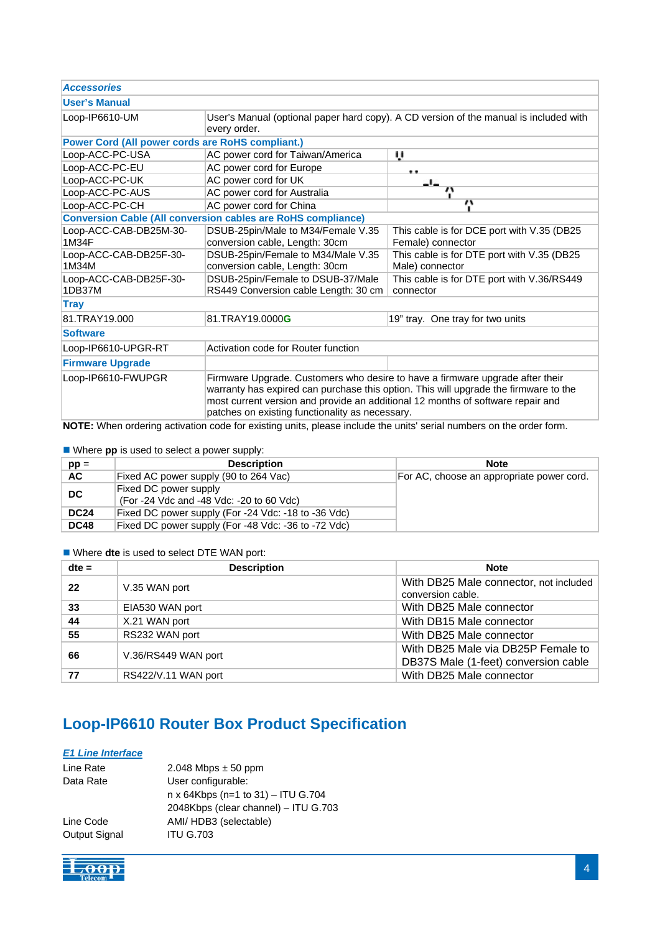| <b>Accessories</b>                                                  |                                                                                                                                                                                                                                                                                                             |                                            |  |
|---------------------------------------------------------------------|-------------------------------------------------------------------------------------------------------------------------------------------------------------------------------------------------------------------------------------------------------------------------------------------------------------|--------------------------------------------|--|
| <b>User's Manual</b>                                                |                                                                                                                                                                                                                                                                                                             |                                            |  |
| Loop-IP6610-UM                                                      | User's Manual (optional paper hard copy). A CD version of the manual is included with                                                                                                                                                                                                                       |                                            |  |
|                                                                     | every order.                                                                                                                                                                                                                                                                                                |                                            |  |
| <b>Power Cord (All power cords are RoHS compliant.)</b>             |                                                                                                                                                                                                                                                                                                             |                                            |  |
| Loop-ACC-PC-USA                                                     | AC power cord for Taiwan/America                                                                                                                                                                                                                                                                            | ù                                          |  |
| Loop-ACC-PC-EU                                                      | AC power cord for Europe                                                                                                                                                                                                                                                                                    | 化油                                         |  |
| Loop-ACC-PC-UK                                                      | AC power cord for UK                                                                                                                                                                                                                                                                                        | -'-                                        |  |
| Loop-ACC-PC-AUS                                                     | AC power cord for Australia                                                                                                                                                                                                                                                                                 | $\overline{\mathbf{r}}$                    |  |
| Loop-ACC-PC-CH                                                      | AC power cord for China                                                                                                                                                                                                                                                                                     | $\overline{\mathbf{v}}$                    |  |
| <b>Conversion Cable (All conversion cables are RoHS compliance)</b> |                                                                                                                                                                                                                                                                                                             |                                            |  |
| Loop-ACC-CAB-DB25M-30-                                              | DSUB-25pin/Male to M34/Female V.35                                                                                                                                                                                                                                                                          | This cable is for DCE port with V.35 (DB25 |  |
| 1M34F                                                               | conversion cable, Length: 30cm                                                                                                                                                                                                                                                                              | Female) connector                          |  |
| Loop-ACC-CAB-DB25F-30-                                              | DSUB-25pin/Female to M34/Male V.35                                                                                                                                                                                                                                                                          | This cable is for DTE port with V.35 (DB25 |  |
| 1M34M                                                               | conversion cable, Length: 30cm                                                                                                                                                                                                                                                                              | Male) connector                            |  |
| Loop-ACC-CAB-DB25F-30-                                              | DSUB-25pin/Female to DSUB-37/Male                                                                                                                                                                                                                                                                           | This cable is for DTE port with V.36/RS449 |  |
| 1DB37M                                                              | RS449 Conversion cable Length: 30 cm                                                                                                                                                                                                                                                                        | connector                                  |  |
| <b>Tray</b>                                                         |                                                                                                                                                                                                                                                                                                             |                                            |  |
| 81.TRAY19.000                                                       | 81.TRAY19.0000G                                                                                                                                                                                                                                                                                             | 19" tray. One tray for two units           |  |
| <b>Software</b>                                                     |                                                                                                                                                                                                                                                                                                             |                                            |  |
| Loop-IP6610-UPGR-RT                                                 | Activation code for Router function                                                                                                                                                                                                                                                                         |                                            |  |
| <b>Firmware Upgrade</b>                                             |                                                                                                                                                                                                                                                                                                             |                                            |  |
| Loop-IP6610-FWUPGR                                                  | Firmware Upgrade. Customers who desire to have a firmware upgrade after their<br>warranty has expired can purchase this option. This will upgrade the firmware to the<br>most current version and provide an additional 12 months of software repair and<br>patches on existing functionality as necessary. |                                            |  |

**NOTE:** When ordering activation code for existing units, please include the units' serial numbers on the order form.

Where **pp** is used to select a power supply:

| $pp =$      | <b>Description</b>                                                | <b>Note</b>                               |
|-------------|-------------------------------------------------------------------|-------------------------------------------|
| AC.         | Fixed AC power supply (90 to 264 Vac)                             | For AC, choose an appropriate power cord. |
| DC          | Fixed DC power supply<br>(For -24 Vdc and -48 Vdc: -20 to 60 Vdc) |                                           |
| <b>DC24</b> | Fixed DC power supply (For -24 Vdc: -18 to -36 Vdc)               |                                           |
| <b>DC48</b> | Fixed DC power supply (For -48 Vdc: -36 to -72 Vdc)               |                                           |

Where **dte** is used to select DTE WAN port:

| $dte =$ | <b>Description</b>  | <b>Note</b>                                                                |
|---------|---------------------|----------------------------------------------------------------------------|
| 22      | V.35 WAN port       | With DB25 Male connector, not included<br>conversion cable.                |
| 33      | EIA530 WAN port     | With DB25 Male connector                                                   |
| 44      | X.21 WAN port       | With DB15 Male connector                                                   |
| 55      | RS232 WAN port      | With DB25 Male connector                                                   |
| 66      | V.36/RS449 WAN port | With DB25 Male via DB25P Female to<br>DB37S Male (1-feet) conversion cable |
| 77      | RS422/V.11 WAN port | With DB25 Male connector                                                   |

# **Loop-IP6610 Router Box Product Specification**

### *E1 Line Interface*

| Line Rate     | $2.048$ Mbps $\pm$ 50 ppm            |
|---------------|--------------------------------------|
| Data Rate     | User configurable:                   |
|               | n x 64Kbps (n=1 to 31) - ITU G.704   |
|               | 2048Kbps (clear channel) - ITU G.703 |
| Line Code     | AMI/ HDB3 (selectable)               |
| Output Signal | <b>ITU G.703</b>                     |

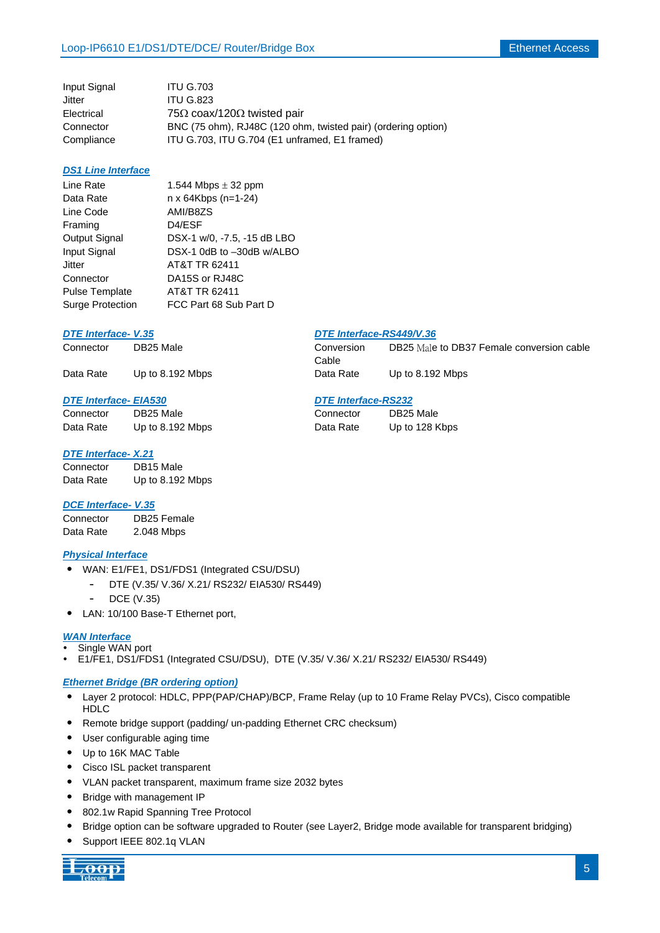| <b>ITU G.703</b>                                              |
|---------------------------------------------------------------|
| <b>ITU G.823</b>                                              |
| 75 $\Omega$ coax/120 $\Omega$ twisted pair                    |
| BNC (75 ohm), RJ48C (120 ohm, twisted pair) (ordering option) |
| ITU G.703, ITU G.704 (E1 unframed, E1 framed)                 |
|                                                               |

#### *DS1 Line Interface*

| Line Rate               | 1.544 Mbps $\pm$ 32 ppm     |
|-------------------------|-----------------------------|
| Data Rate               | n x 64Kbps (n=1-24)         |
| Line Code               | AMI/B8ZS                    |
| Framing                 | D4/ESF                      |
| Output Signal           | DSX-1 w/0, -7.5, -15 dB LBO |
| Input Signal            | DSX-1 0dB to -30dB w/ALBO   |
| Jitter                  | AT&T TR 62411               |
| Connector               | DA15S or RJ48C              |
| <b>Pulse Template</b>   | AT&T TR 62411               |
| <b>Surge Protection</b> | FCC Part 68 Sub Part D      |
|                         |                             |

#### *DTE Interface-V.35*

| DTE Interface-RS449/V.36 |
|--------------------------|
|--------------------------|

Connector DB25 Male Data Rate Up to 128 Kbps

| Connector | DB25 Male          | Conversion | DB25 Male to DB37 Female conversion cable |
|-----------|--------------------|------------|-------------------------------------------|
|           |                    | Cable      |                                           |
| Data Rate | Up to $8.192$ Mbps | Data Rate  | Up to $8.192$ Mbps                        |

#### *DTE Interface- EIA530 DTE Interface-RS232*

| Connector | DB25 Male        |
|-----------|------------------|
| Data Rate | Up to 8.192 Mbps |

#### *DTE Interface- X.21*

| Connector | DB15 Male        |
|-----------|------------------|
| Data Rate | Up to 8.192 Mbps |

#### *DCE Interface- V.35*

| Connector | DB25 Female |
|-----------|-------------|
| Data Rate | 2.048 Mbps  |

#### *Physical Interface*

- ˙ WAN: E1/FE1, DS1/FDS1 (Integrated CSU/DSU)
	- DTE (V.35/ V.36/ X.21/ RS232/ EIA530/ RS449)
	- DCE (V.35)
- ˙ LAN: 10/100 Base-T Ethernet port,

#### *WAN Interface*

- Single WAN port
- E1/FE1, DS1/FDS1 (Integrated CSU/DSU), DTE (V.35/ V.36/ X.21/ RS232/ EIA530/ RS449)

#### *Ethernet Bridge (BR ordering option)*

- ˙ Layer 2 protocol: HDLC, PPP(PAP/CHAP)/BCP, Frame Relay (up to 10 Frame Relay PVCs), Cisco compatible **HDLC**
- ˙ Remote bridge support (padding/ un-padding Ethernet CRC checksum)
- ˙ User configurable aging time
- ˙ Up to 16K MAC Table
- ˙ Cisco ISL packet transparent
- ˙ VLAN packet transparent, maximum frame size 2032 bytes
- ˙ Bridge with management IP
- ˙ 802.1w Rapid Spanning Tree Protocol
- ˙ Bridge option can be software upgraded to Router (see Layer2, Bridge mode available for transparent bridging)
- Support IEEE 802.1q VLAN

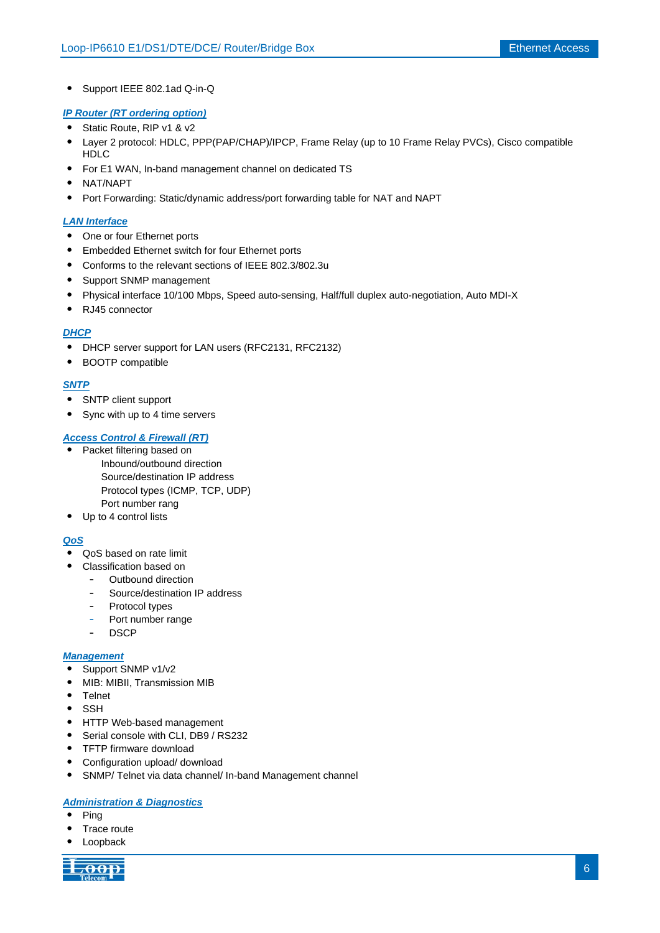˙ Support IEEE 802.1ad Q-in-Q

#### *IP Router (RT ordering option)*

- ˙ Static Route, RIP v1 & v2
- ˙ Layer 2 protocol: HDLC, PPP(PAP/CHAP)/IPCP, Frame Relay (up to 10 Frame Relay PVCs), Cisco compatible HDLC
- ˙ For E1 WAN, In-band management channel on dedicated TS
- ˙ NAT/NAPT
- ˙ Port Forwarding: Static/dynamic address/port forwarding table for NAT and NAPT

#### *LAN Interface*

- One or four Ethernet ports
- ˙ Embedded Ethernet switch for four Ethernet ports
- ˙ Conforms to the relevant sections of IEEE 802.3/802.3u
- ˙ Support SNMP management
- ˙ Physical interface 10/100 Mbps, Speed auto-sensing, Half/full duplex auto-negotiation, Auto MDI-X
- ˙ RJ45 connector

#### *DHCP*

- ˙ DHCP server support for LAN users (RFC2131, RFC2132)
- ˙ BOOTP compatible

#### *SNTP*

- ˙ SNTP client support
- ˙ Sync with up to 4 time servers

#### *Access Control & Firewall (RT)*

- ˙ Packet filtering based on Inbound/outbound direction Source/destination IP address Protocol types (ICMP, TCP, UDP) Port number rang
- Up to 4 control lists

#### *QoS*

- ˙ QoS based on rate limit
	- ˙ Classification based on
		- Outbound direction
		- Source/destination IP address
		- Protocol types
		- Port number range
		- DSCP

#### *Management*

- ˙ Support SNMP v1/v2
- ˙ MIB: MIBII, Transmission MIB
- ˙ Telnet
- ˙ SSH
- ˙ HTTP Web-based management
- ˙ Serial console with CLI, DB9 / RS232
- TFTP firmware download
- ˙ Configuration upload/ download
- ˙ SNMP/ Telnet via data channel/ In-band Management channel

### *Administration & Diagnostics*

- ˙ Ping
- ˙ Trace route
- **Loopback**

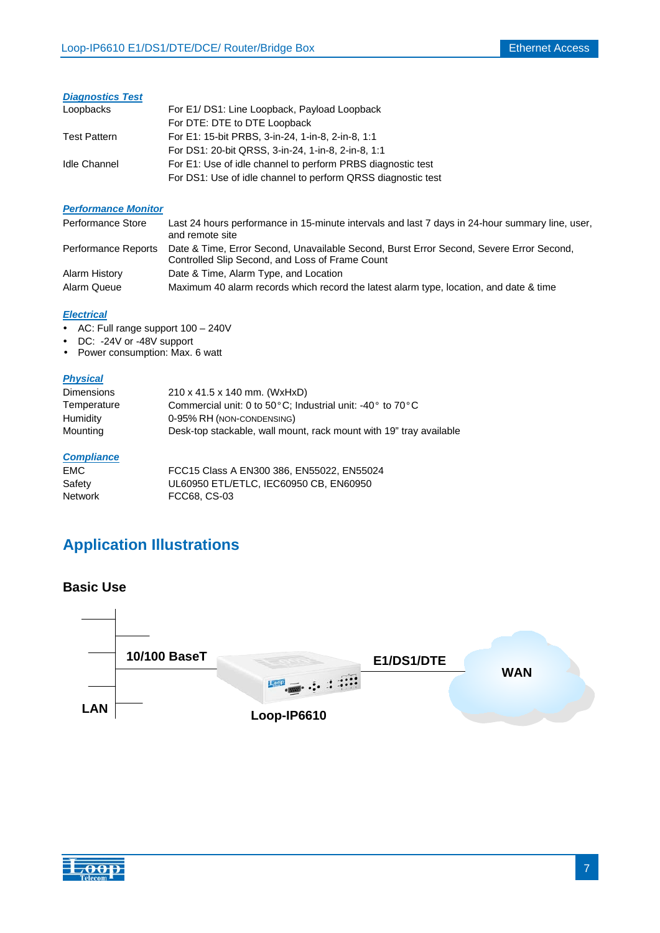### *Diagnostics Test*

| Loopbacks           | For E1/DS1: Line Loopback, Payload Loopback                  |
|---------------------|--------------------------------------------------------------|
|                     | For DTE: DTE to DTE Loopback                                 |
| <b>Test Pattern</b> | For E1: 15-bit PRBS, 3-in-24, 1-in-8, 2-in-8, 1:1            |
|                     | For DS1: 20-bit QRSS, 3-in-24, 1-in-8, 2-in-8, 1:1           |
| <b>Idle Channel</b> | For E1: Use of idle channel to perform PRBS diagnostic test  |
|                     | For DS1: Use of idle channel to perform QRSS diagnostic test |

#### *Performance Monitor*

| Performance Store   | Last 24 hours performance in 15-minute intervals and last 7 days in 24-hour summary line, user,<br>and remote site                         |
|---------------------|--------------------------------------------------------------------------------------------------------------------------------------------|
| Performance Reports | Date & Time, Error Second, Unavailable Second, Burst Error Second, Severe Error Second,<br>Controlled Slip Second, and Loss of Frame Count |
| Alarm History       | Date & Time, Alarm Type, and Location                                                                                                      |
| Alarm Queue         | Maximum 40 alarm records which record the latest alarm type, location, and date & time                                                     |

#### *Electrical*

- AC: Full range support 100 240V
- DC: -24V or -48V support
- Power consumption: Max. 6 watt

#### *Physical*

| <b>Dimensions</b> | 210 x 41.5 x 140 mm. (WxHxD)                                                     |
|-------------------|----------------------------------------------------------------------------------|
| Temperature       | Commercial unit: 0 to 50 $\circ$ C: Industrial unit: -40 $\circ$ to 70 $\circ$ C |
| Humidity          | 0-95% RH (NON-CONDENSING)                                                        |
| Mounting          | Desk-top stackable, wall mount, rack mount with 19" tray available               |

#### *Compliance*

| EMC.    | FCC15 Class A EN300 386, EN55022, EN55024 |
|---------|-------------------------------------------|
| Safety  | UL60950 ETL/ETLC, IEC60950 CB, EN60950    |
| Network | FCC68, CS-03                              |

# **Application Illustrations**

### **Basic Use**